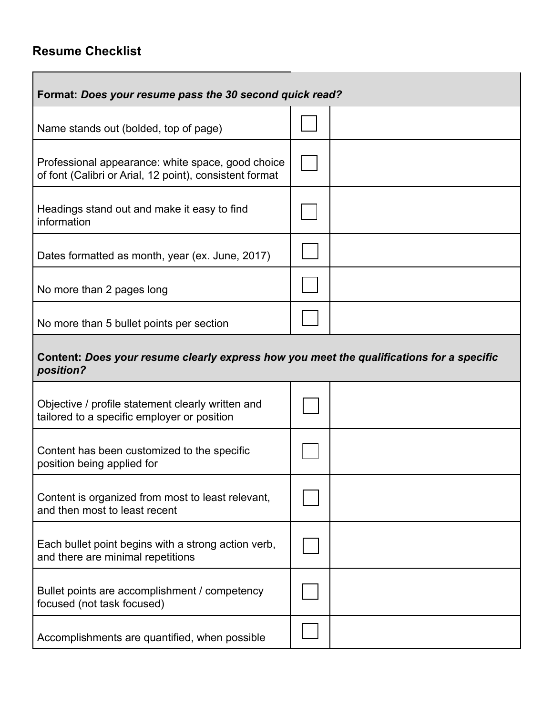## **Resume Checklist**

| Format: Does your resume pass the 30 second quick read?                                                      |  |  |  |
|--------------------------------------------------------------------------------------------------------------|--|--|--|
| Name stands out (bolded, top of page)                                                                        |  |  |  |
| Professional appearance: white space, good choice<br>of font (Calibri or Arial, 12 point), consistent format |  |  |  |
| Headings stand out and make it easy to find<br>information                                                   |  |  |  |
| Dates formatted as month, year (ex. June, 2017)                                                              |  |  |  |
| No more than 2 pages long                                                                                    |  |  |  |
| No more than 5 bullet points per section                                                                     |  |  |  |
| Content: Does your resume clearly express how you meet the qualifications for a specific<br>position?        |  |  |  |
| Objective / profile statement clearly written and<br>tailored to a specific employer or position             |  |  |  |
| Content has been customized to the specific<br>position being applied for                                    |  |  |  |
| Content is organized from most to least relevant,<br>and then most to least recent                           |  |  |  |
| Each bullet point begins with a strong action verb,<br>and there are minimal repetitions                     |  |  |  |
| Bullet points are accomplishment / competency<br>focused (not task focused)                                  |  |  |  |
| Accomplishments are quantified, when possible                                                                |  |  |  |